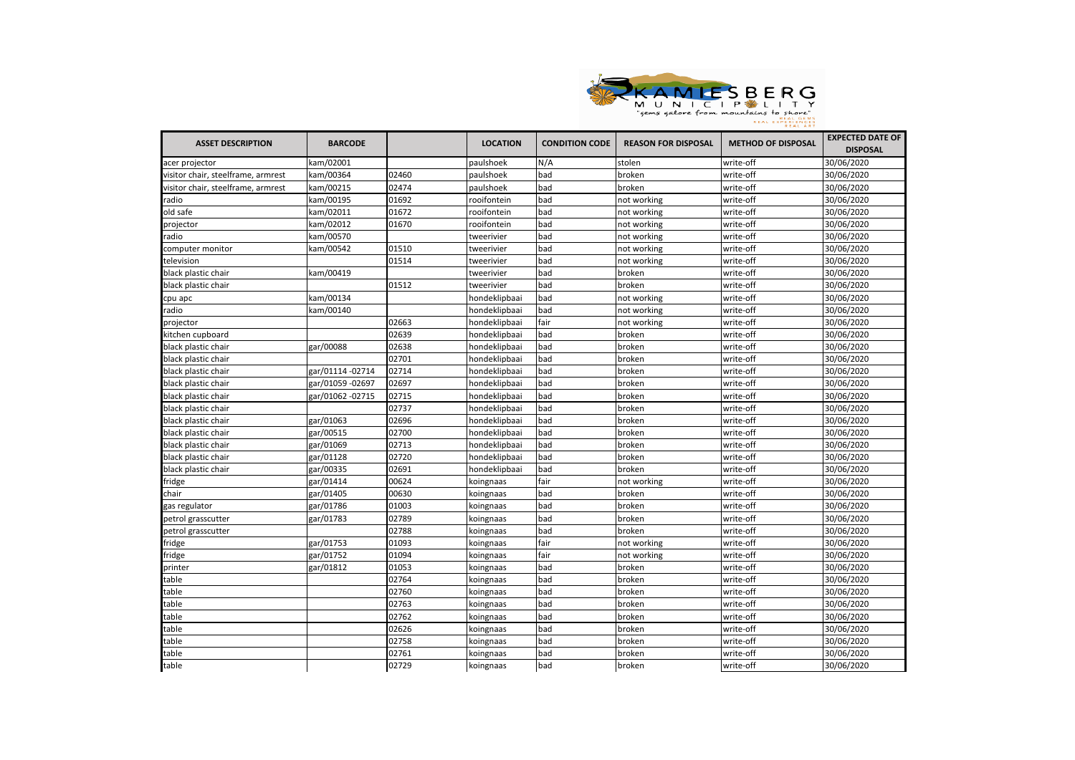

| <b>ASSET DESCRIPTION</b>           | <b>BARCODE</b>   |       | <b>LOCATION</b> | <b>CONDITION CODE</b> | <b>REASON FOR DISPOSAL</b> | <b>METHOD OF DISPOSAL</b> | <b>EXPECTED DATE OF</b><br><b>DISPOSAL</b> |
|------------------------------------|------------------|-------|-----------------|-----------------------|----------------------------|---------------------------|--------------------------------------------|
| acer projector                     | kam/02001        |       | paulshoek       | N/A                   | stolen                     | write-off                 | 30/06/2020                                 |
| visitor chair, steelframe, armrest | kam/00364        | 02460 | paulshoek       | bad                   |                            | write-off                 | 30/06/2020                                 |
| visitor chair, steelframe, armrest | kam/00215        | 02474 | paulshoek       | bad                   | broken<br>broken           | write-off                 | 30/06/2020                                 |
| radio                              | kam/00195        | 01692 | rooifontein     | bad                   |                            |                           | 30/06/2020                                 |
| old safe                           | kam/02011        | 01672 | rooifontein     | bad                   | not working                | write-off<br>write-off    | 30/06/2020                                 |
|                                    | kam/02012        | 01670 | rooifontein     | bad                   | not working                | write-off                 | 30/06/2020                                 |
| projector<br>radio                 | kam/00570        |       |                 | bad                   | not working                |                           | 30/06/2020                                 |
|                                    |                  | 01510 | tweerivier      |                       | not working                | write-off                 |                                            |
| computer monitor                   | kam/00542        |       | tweerivier      | bad                   | not working                | write-off                 | 30/06/2020                                 |
| television                         |                  | 01514 | tweerivier      | bad                   | not working                | write-off                 | 30/06/2020                                 |
| black plastic chair                | kam/00419        |       | tweerivier      | bad                   | broken                     | write-off                 | 30/06/2020                                 |
| black plastic chair                |                  | 01512 | tweerivier      | bad                   | broken                     | write-off                 | 30/06/2020                                 |
| pu apc                             | kam/00134        |       | hondeklipbaai   | bad                   | not working                | write-off                 | 30/06/2020                                 |
| radio                              | kam/00140        |       | hondeklipbaai   | bad                   | not working                | write-off                 | 30/06/2020                                 |
| projector                          |                  | 02663 | hondeklipbaai   | fair                  | not working                | write-off                 | 30/06/2020                                 |
| kitchen cupboard                   |                  | 02639 | hondeklipbaai   | bad                   | broken                     | write-off                 | 30/06/2020                                 |
| black plastic chair                | gar/00088        | 02638 | hondeklipbaai   | bad                   | broken                     | write-off                 | 30/06/2020                                 |
| black plastic chair                |                  | 02701 | hondeklipbaai   | bad                   | broken                     | write-off                 | 30/06/2020                                 |
| black plastic chair                | gar/01114 -02714 | 02714 | hondeklipbaai   | bad                   | broken                     | write-off                 | 30/06/2020                                 |
| black plastic chair                | gar/01059 -02697 | 02697 | hondeklipbaai   | bad                   | broken                     | write-off                 | 30/06/2020                                 |
| black plastic chair                | gar/01062 -02715 | 02715 | hondeklipbaai   | bad                   | broken                     | write-off                 | 30/06/2020                                 |
| black plastic chair                |                  | 02737 | hondeklipbaai   | bad                   | broken                     | write-off                 | 30/06/2020                                 |
| black plastic chair                | gar/01063        | 02696 | hondeklipbaai   | bad                   | broken                     | write-off                 | 30/06/2020                                 |
| black plastic chair                | gar/00515        | 02700 | hondeklipbaai   | bad                   | broken                     | write-off                 | 30/06/2020                                 |
| black plastic chair                | gar/01069        | 02713 | hondeklipbaai   | bad                   | broken                     | write-off                 | 30/06/2020                                 |
| black plastic chair                | gar/01128        | 02720 | hondeklipbaai   | bad                   | broken                     | write-off                 | 30/06/2020                                 |
| black plastic chair                | gar/00335        | 02691 | hondeklipbaai   | bad                   | broken                     | write-off                 | 30/06/2020                                 |
| fridge                             | gar/01414        | 00624 | koingnaas       | fair                  | not working                | write-off                 | 30/06/2020                                 |
| chair                              | gar/01405        | 00630 | koingnaas       | bad                   | broken                     | write-off                 | 30/06/2020                                 |
| gas regulator                      | gar/01786        | 01003 | koingnaas       | bad                   | broken                     | write-off                 | 30/06/2020                                 |
| petrol grasscutter                 | gar/01783        | 02789 | koingnaas       | bad                   | broken                     | write-off                 | 30/06/2020                                 |
| petrol grasscutter                 |                  | 02788 | koingnaas       | bad                   | broken                     | write-off                 | 30/06/2020                                 |
| fridge                             | gar/01753        | 01093 | koingnaas       | fair                  | not working                | write-off                 | 30/06/2020                                 |
| fridge                             | gar/01752        | 01094 | koingnaas       | fair                  | not working                | write-off                 | 30/06/2020                                 |
| printer                            | gar/01812        | 01053 | koingnaas       | bad                   | broken                     | write-off                 | 30/06/2020                                 |
| table                              |                  | 02764 | koingnaas       | bad                   | broken                     | write-off                 | 30/06/2020                                 |
| table                              |                  | 02760 | koingnaas       | bad                   | broken                     | write-off                 | 30/06/2020                                 |
| table                              |                  | 02763 | koingnaas       | bad                   | broken                     | write-off                 | 30/06/2020                                 |
| table                              |                  | 02762 | koingnaas       | bad                   | broken                     | write-off                 | 30/06/2020                                 |
| table                              |                  | 02626 | koingnaas       | bad                   | broken                     | write-off                 | 30/06/2020                                 |
| table                              |                  | 02758 | koingnaas       | bad                   | broken                     | write-off                 | 30/06/2020                                 |
| able:                              |                  | 02761 | koingnaas       | bad                   | broken                     | write-off                 | 30/06/2020                                 |
| table                              |                  | 02729 | koingnaas       | bad                   | broken                     | write-off                 | 30/06/2020                                 |
|                                    |                  |       |                 |                       |                            |                           |                                            |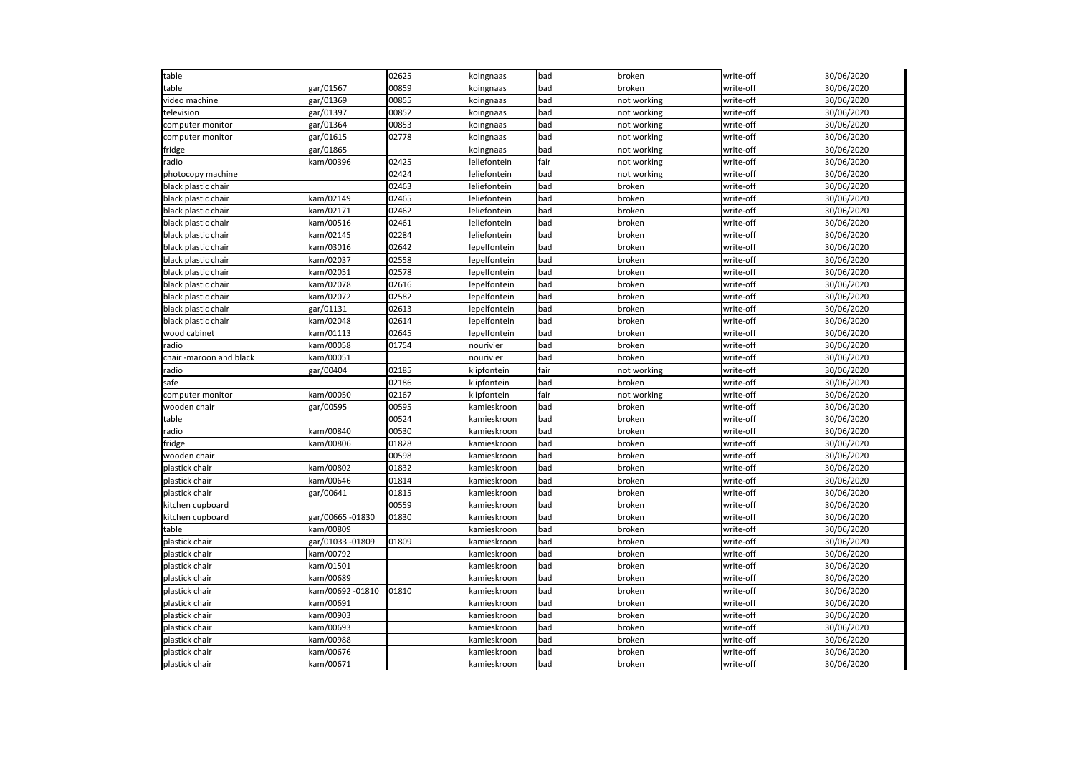| table                   |                  | 02625 | koingnaas    | bad  | broken      | write-off | 30/06/2020 |
|-------------------------|------------------|-------|--------------|------|-------------|-----------|------------|
| able:                   | gar/01567        | 00859 | koingnaas    | bad  | broken      | write-off | 30/06/2020 |
| video machine           | gar/01369        | 00855 | koingnaas    | bad  | not working | write-off | 30/06/2020 |
| elevision:              | gar/01397        | 00852 | koingnaas    | bad  | not working | write-off | 30/06/2020 |
| computer monitor        | gar/01364        | 00853 | koingnaas    | bad  | not working | write-off | 30/06/2020 |
| computer monitor        | gar/01615        | 02778 | koingnaas    | bad  | not working | write-off | 30/06/2020 |
| fridge                  | gar/01865        |       | koingnaas    | bad  | not working | write-off | 30/06/2020 |
| adio <sup>.</sup>       | kam/00396        | 02425 | leliefontein | fair | not working | write-off | 30/06/2020 |
| photocopy machine       |                  | 02424 | leliefontein | bad  | not working | write-off | 30/06/2020 |
| black plastic chair     |                  | 02463 | leliefontein | bad  | broken      | write-off | 30/06/2020 |
| black plastic chair     | kam/02149        | 02465 | leliefontein | bad  | broken      | write-off | 30/06/2020 |
| black plastic chair     | kam/02171        | 02462 | leliefontein | bad  | broken      | write-off | 30/06/2020 |
| black plastic chair     | kam/00516        | 02461 | leliefontein | bad  | broken      | write-off | 30/06/2020 |
| black plastic chair     | kam/02145        | 02284 | leliefontein | bad  | broken      | write-off | 30/06/2020 |
| black plastic chair     | kam/03016        | 02642 | lepelfontein | bad  | broken      | write-off | 30/06/2020 |
| plack plastic chair     | kam/02037        | 02558 | epelfontein  | bad  | broken      | write-off | 30/06/2020 |
| plack plastic chair     | kam/02051        | 02578 | epelfontein  | bad  | broken      | write-off | 30/06/2020 |
| black plastic chair     | kam/02078        | 02616 | epelfontein  | bad  | broken      | write-off | 30/06/2020 |
| black plastic chair     | kam/02072        | 02582 | lepelfontein | bad  | broken      | write-off | 30/06/2020 |
| black plastic chair     | gar/01131        | 02613 | epelfontein  | bad  | broken      | write-off | 30/06/2020 |
| black plastic chair     | kam/02048        | 02614 | lepelfontein | bad  | broken      | write-off | 30/06/2020 |
| wood cabinet            | kam/01113        | 02645 | lepelfontein | bad  | broken      | write-off | 30/06/2020 |
| adio                    | kam/00058        | 01754 | nourivier    | bad  | broken      | write-off | 30/06/2020 |
| chair -maroon and black | kam/00051        |       | nourivier    | bad  | broken      | write-off | 30/06/2020 |
| adio <sup>.</sup>       | gar/00404        | 02185 | klipfontein  | fair | not working | write-off | 30/06/2020 |
| safe                    |                  | 02186 | klipfontein  | bad  | broken      | write-off | 30/06/2020 |
| computer monitor        | kam/00050        | 02167 | klipfontein  | fair | not working | write-off | 30/06/2020 |
| wooden chair            | gar/00595        | 00595 | kamieskroon  | bad  | broken      | write-off | 30/06/2020 |
| table                   |                  | 00524 | kamieskroon  | bad  | broken      | write-off | 30/06/2020 |
| adio                    | kam/00840        | 00530 | kamieskroon  | bad  | broken      | write-off | 30/06/2020 |
| fridge                  | kam/00806        | 01828 | kamieskroon  | bad  | broken      | write-off | 30/06/2020 |
| wooden chair            |                  | 00598 | kamieskroon  | bad  | broken      | write-off | 30/06/2020 |
| olastick chair          | kam/00802        | 01832 | kamieskroon  | bad  | broken      | write-off | 30/06/2020 |
| plastick chair          | kam/00646        | 01814 | kamieskroon  | bad  | broken      | write-off | 30/06/2020 |
| olastick chair          | gar/00641        | 01815 | kamieskroon  | bad  | broken      | write-off | 30/06/2020 |
| citchen cupboard        |                  | 00559 | kamieskroon  | bad  | broken      | write-off | 30/06/2020 |
| citchen cupboard        | gar/00665 -01830 | 01830 | kamieskroon  | bad  | broken      | write-off | 30/06/2020 |
| able:                   | kam/00809        |       | kamieskroon  | bad  | broken      | write-off | 30/06/2020 |
| plastick chair          | gar/01033 -01809 | 01809 | kamieskroon  | bad  | broken      | write-off | 30/06/2020 |
| olastick chair          | kam/00792        |       | kamieskroon  | bad  | broken      | write-off | 30/06/2020 |
| olastick chair          | kam/01501        |       | kamieskroon  | bad  | broken      | write-off | 30/06/2020 |
| plastick chair          | kam/00689        |       | kamieskroon  | bad  | broken      | write-off | 30/06/2020 |
| olastick chair          | kam/00692 -01810 | 01810 | kamieskroon  | bad  | broken      | write-off | 30/06/2020 |
| olastick chair          | kam/00691        |       | kamieskroon  | bad  | broken      | write-off | 30/06/2020 |
| olastick chair          | kam/00903        |       | kamieskroon  | bad  | broken      | write-off | 30/06/2020 |
| plastick chair          | kam/00693        |       | kamieskroon  | bad  | broken      | write-off | 30/06/2020 |
| plastick chair          | kam/00988        |       | kamieskroon  | bad  | broken      | write-off | 30/06/2020 |
| plastick chair          | kam/00676        |       | kamieskroon  | bad  | broken      | write-off | 30/06/2020 |
| plastick chair          | kam/00671        |       | kamieskroon  | bad  | broken      | write-off | 30/06/2020 |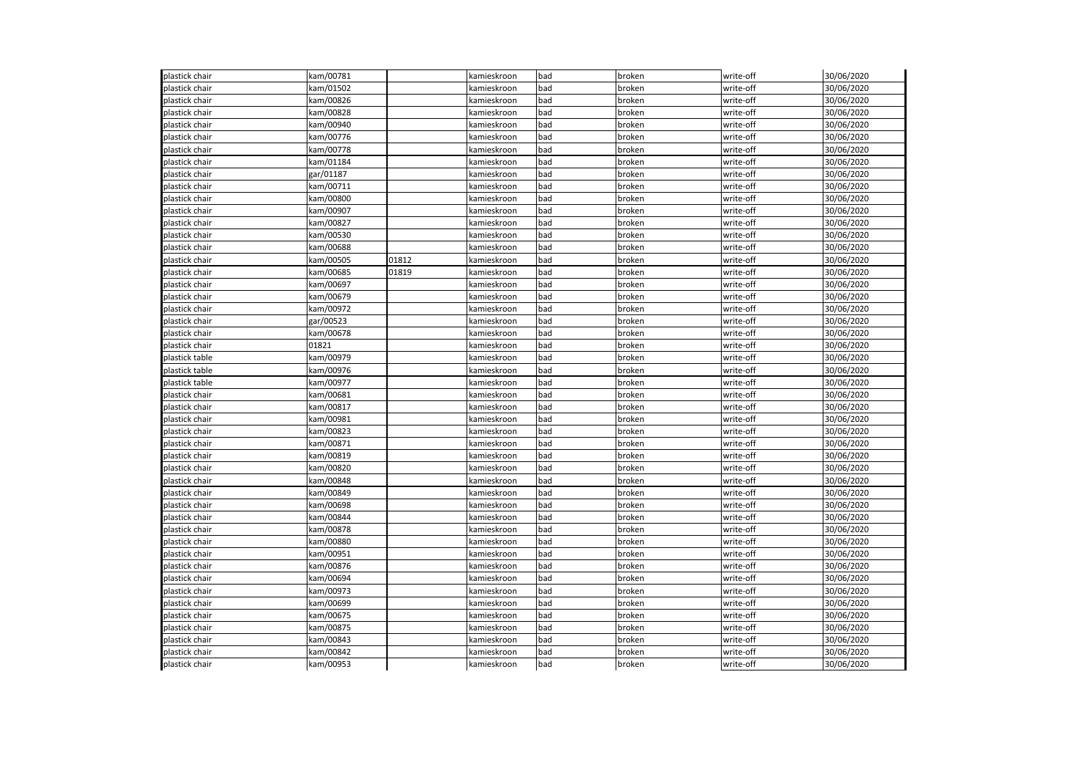| plastick chair | kam/00781 |       | kamieskroon | bad | broken | write-off | 30/06/2020 |
|----------------|-----------|-------|-------------|-----|--------|-----------|------------|
| plastick chair | kam/01502 |       | kamieskroon | bad | broken | write-off | 30/06/2020 |
| olastick chair | kam/00826 |       | kamieskroon | bad | broken | write-off | 30/06/2020 |
| plastick chair | kam/00828 |       | kamieskroon | bad | broken | write-off | 30/06/2020 |
| plastick chair | kam/00940 |       | kamieskroon | bad | broken | write-off | 30/06/2020 |
| plastick chair | kam/00776 |       | kamieskroon | bad | broken | write-off | 30/06/2020 |
| plastick chair | kam/00778 |       | kamieskroon | bad | broken | write-off | 30/06/2020 |
| plastick chair | kam/01184 |       | kamieskroon | bad | broken | write-off | 30/06/2020 |
| plastick chair | gar/01187 |       | kamieskroon | bad | broken | write-off | 30/06/2020 |
| plastick chair | kam/00711 |       | kamieskroon | bad | broken | write-off | 30/06/2020 |
| plastick chair | kam/00800 |       | kamieskroon | bad | broken | write-off | 30/06/2020 |
| plastick chair | kam/00907 |       | kamieskroon | bad | broken | write-off | 30/06/2020 |
| plastick chair | kam/00827 |       | kamieskroon | bad | broken | write-off | 30/06/2020 |
| plastick chair | kam/00530 |       | kamieskroon | bad | broken | write-off | 30/06/2020 |
| plastick chair | kam/00688 |       | kamieskroon | bad | broken | write-off | 30/06/2020 |
| plastick chair | kam/00505 | 01812 | kamieskroon | bad | broken | write-off | 30/06/2020 |
| olastick chair | kam/00685 | 01819 | kamieskroon | bad | broken | write-off | 30/06/2020 |
| olastick chair | kam/00697 |       | kamieskroon | bad | broken | write-off | 30/06/2020 |
| plastick chair | kam/00679 |       | kamieskroon | bad | broken | write-off | 30/06/2020 |
| olastick chair | kam/00972 |       | kamieskroon | bad | broken | write-off | 30/06/2020 |
| plastick chair | gar/00523 |       | kamieskroon | bad | broken | write-off | 30/06/2020 |
| plastick chair | kam/00678 |       | kamieskroon | bad | broken | write-off | 30/06/2020 |
| plastick chair | 01821     |       | kamieskroon | bad | broken | write-off | 30/06/2020 |
| plastick table | kam/00979 |       | kamieskroon | bad | broken | write-off | 30/06/2020 |
| plastick table | kam/00976 |       | kamieskroon | bad | broken | write-off | 30/06/2020 |
| plastick table | kam/00977 |       | kamieskroon | bad | broken | write-off | 30/06/2020 |
| plastick chair | kam/00681 |       | kamieskroon | bad | broken | write-off | 30/06/2020 |
| plastick chair | kam/00817 |       | kamieskroon | bad | broken | write-off | 30/06/2020 |
| plastick chair | kam/00981 |       | kamieskroon | bad | broken | write-off | 30/06/2020 |
| plastick chair | kam/00823 |       | kamieskroon | bad | broken | write-off | 30/06/2020 |
| plastick chair | kam/00871 |       | kamieskroon | bad | broken | write-off | 30/06/2020 |
| plastick chair | kam/00819 |       | kamieskroon | bad | broken | write-off | 30/06/2020 |
| plastick chair | kam/00820 |       | kamieskroon | bad | broken | write-off | 30/06/2020 |
| plastick chair | kam/00848 |       | kamieskroon | bad | broken | write-off | 30/06/2020 |
| olastick chair | kam/00849 |       | kamieskroon | bad | broken | write-off | 30/06/2020 |
| olastick chair | kam/00698 |       | kamieskroon | bad | broken | write-off | 30/06/2020 |
| olastick chair | kam/00844 |       | kamieskroon | bad | broken | write-off | 30/06/2020 |
| plastick chair | kam/00878 |       | kamieskroon | bad |        | write-off | 30/06/2020 |
|                |           |       |             |     | broken |           |            |
| olastick chair | kam/00880 |       | kamieskroon | bad | broken | write-off | 30/06/2020 |
| plastick chair | kam/00951 |       | kamieskroon | bad | broken | write-off | 30/06/2020 |
| plastick chair | kam/00876 |       | kamieskroon | bad | broken | write-off | 30/06/2020 |
| plastick chair | kam/00694 |       | kamieskroon | bad | broken | write-off | 30/06/2020 |
| plastick chair | kam/00973 |       | kamieskroon | bad | broken | write-off | 30/06/2020 |
| plastick chair | kam/00699 |       | kamieskroon | bad | broken | write-off | 30/06/2020 |
| plastick chair | kam/00675 |       | kamieskroon | bad | broken | write-off | 30/06/2020 |
| plastick chair | kam/00875 |       | kamieskroon | bad | broken | write-off | 30/06/2020 |
| plastick chair | kam/00843 |       | kamieskroon | bad | broken | write-off | 30/06/2020 |
| plastick chair | kam/00842 |       | kamieskroon | bad | broken | write-off | 30/06/2020 |
| plastick chair | kam/00953 |       | kamieskroon | bad | broken | write-off | 30/06/2020 |